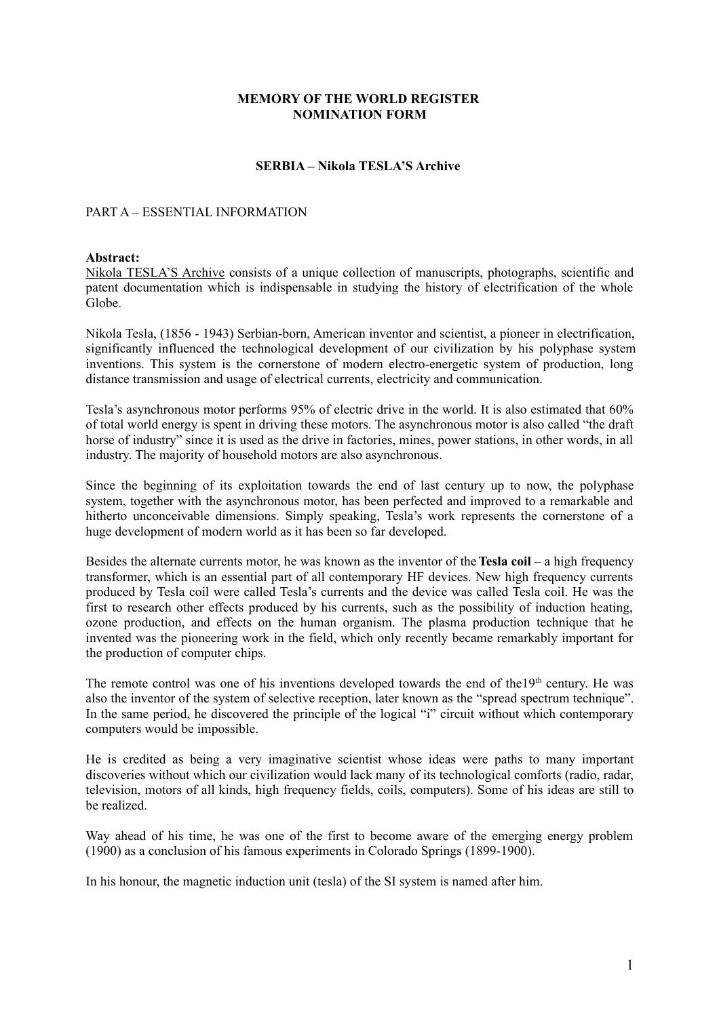### **MEMORY OF THE WORLD REGISTER NOMINATION FORM**

### **SERBIA – Nikola TESLA'S Archive**

### PART A – ESSENTIAL INFORMATION

#### **Abstract:**

Nikola TESLA'S Archive consists of a unique collection of manuscripts, photographs, scientific and patent documentation which is indispensable in studying the history of electrification of the whole Globe.

Nikola Tesla, (1856 - 1943) Serbian-born, American inventor and scientist, a pioneer in electrification, significantly influenced the technological development of our civilization by his polyphase system inventions. This system is the cornerstone of modern electro-energetic system of production, long distance transmission and usage of electrical currents, electricity and communication.

Tesla's asynchronous motor performs 95% of electric drive in the world. It is also estimated that 60% of total world energy is spent in driving these motors. The asynchronous motor is also called "the draft horse of industry" since it is used as the drive in factories, mines, power stations, in other words, in all industry. The majority of household motors are also asynchronous.

Since the beginning of its exploitation towards the end of last century up to now, the polyphase system, together with the asynchronous motor, has been perfected and improved to a remarkable and hitherto unconceivable dimensions. Simply speaking, Tesla's work represents the cornerstone of a huge development of modern world as it has been so far developed.

Besides the alternate currents motor, he was known as the inventor of the **Tesla coil** – a high frequency transformer, which is an essential part of all contemporary HF devices. New high frequency currents produced by Tesla coil were called Tesla's currents and the device was called Tesla coil. He was the first to research other effects produced by his currents, such as the possibility of induction heating, ozone production, and effects on the human organism. The plasma production technique that he invented was the pioneering work in the field, which only recently became remarkably important for the production of computer chips.

The remote control was one of his inventions developed towards the end of the19<sup>th</sup> century. He was also the inventor of the system of selective reception, later known as the "spread spectrum technique". In the same period, he discovered the principle of the logical "i" circuit without which contemporary computers would be impossible.

He is credited as being a very imaginative scientist whose ideas were paths to many important discoveries without which our civilization would lack many of its technological comforts (radio, radar, television, motors of all kinds, high frequency fields, coils, computers). Some of his ideas are still to be realized.

Way ahead of his time, he was one of the first to become aware of the emerging energy problem (1900) as a conclusion of his famous experiments in Colorado Springs (1899-1900).

In his honour, the magnetic induction unit (tesla) of the SI system is named after him.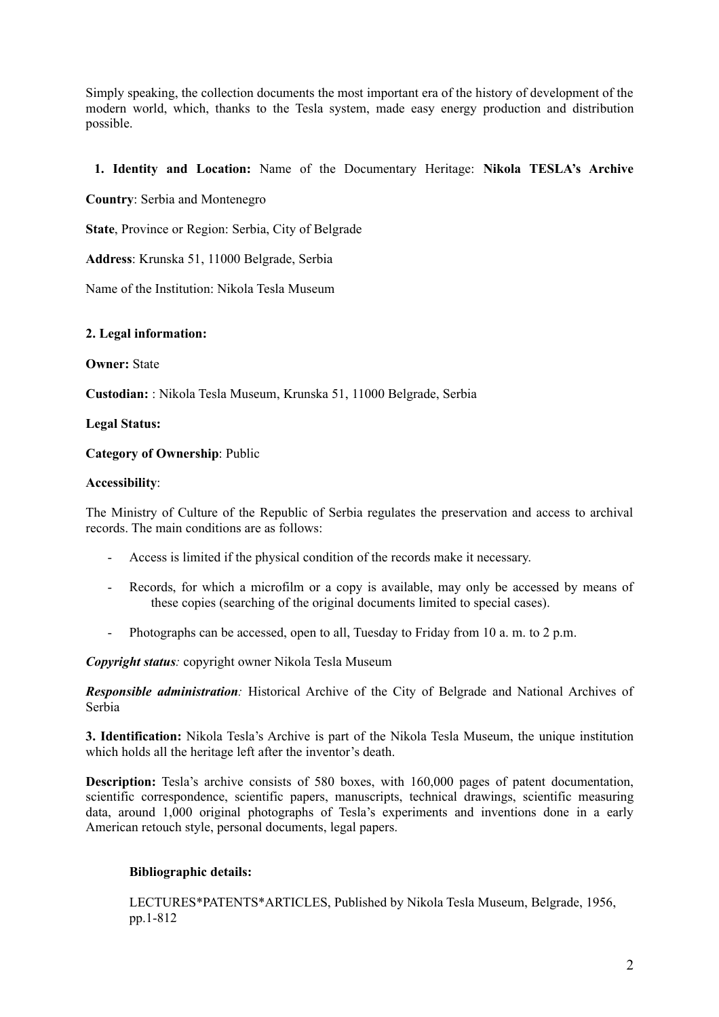Simply speaking, the collection documents the most important era of the history of development of the modern world, which, thanks to the Tesla system, made easy energy production and distribution possible.

# **1. Identity and Location:** Name of the Documentary Heritage: **Nikola TESLA's Archive**

**Country**: Serbia and Montenegro

**State**, Province or Region: Serbia, City of Belgrade

**Address**: Krunska 51, 11000 Belgrade, Serbia

Name of the Institution: Nikola Tesla Museum

## **2. Legal information:**

**Owner:** State

**Custodian:** : Nikola Tesla Museum, Krunska 51, 11000 Belgrade, Serbia

### **Legal Status:**

## **Category of Ownership**: Public

## **Accessibility**:

The Ministry of Culture of the Republic of Serbia regulates the preservation and access to archival records. The main conditions are as follows:

- Access is limited if the physical condition of the records make it necessary.
- Records, for which a microfilm or a copy is available, may only be accessed by means of these copies (searching of the original documents limited to special cases).
- Photographs can be accessed, open to all, Tuesday to Friday from 10 a. m. to 2 p.m.

*Copyright status:* copyright owner Nikola Tesla Museum

*Responsible administration:* Historical Archive of the City of Belgrade and National Archives of Serbia

**3. Identification:** Nikola Tesla's Archive is part of the Nikola Tesla Museum, the unique institution which holds all the heritage left after the inventor's death.

**Description:** Tesla's archive consists of 580 boxes, with 160,000 pages of patent documentation, scientific correspondence, scientific papers, manuscripts, technical drawings, scientific measuring data, around 1,000 original photographs of Tesla's experiments and inventions done in a early American retouch style, personal documents, legal papers.

# **Bibliographic details:**

LECTURES\*PATENTS\*ARTICLES, Published by Nikola Tesla Museum, Belgrade, 1956, pp.1-812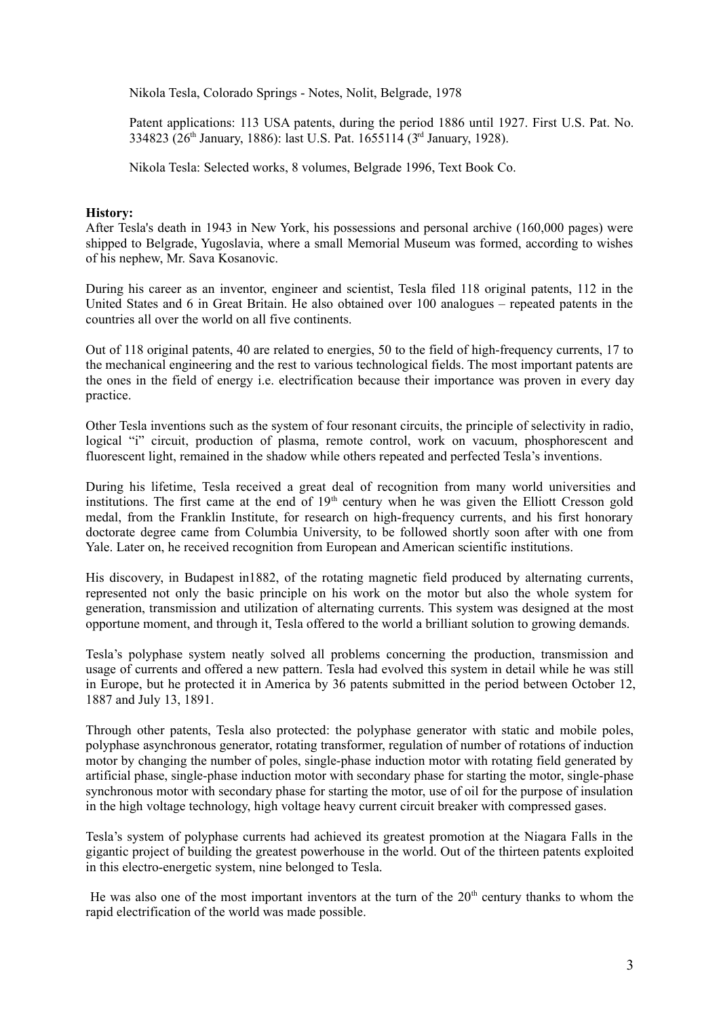Nikola Tesla, Colorado Springs - Notes, Nolit, Belgrade, 1978

Patent applications: 113 USA patents, during the period 1886 until 1927. First U.S. Pat. No. 334823 (26th January, 1886): last U.S. Pat. 1655114 (3rd January, 1928).

Nikola Tesla: Selected works, 8 volumes, Belgrade 1996, Text Book Co.

### **History:**

After Tesla's death in 1943 in New York, his possessions and personal archive (160,000 pages) were shipped to Belgrade, Yugoslavia, where a small Memorial Museum was formed, according to wishes of his nephew, Mr. Sava Kosanovic.

During his career as an inventor, engineer and scientist, Tesla filed 118 original patents, 112 in the United States and 6 in Great Britain. He also obtained over 100 analogues – repeated patents in the countries all over the world on all five continents.

Out of 118 original patents, 40 are related to energies, 50 to the field of high-frequency currents, 17 to the mechanical engineering and the rest to various technological fields. The most important patents are the ones in the field of energy i.e. electrification because their importance was proven in every day practice.

Other Tesla inventions such as the system of four resonant circuits, the principle of selectivity in radio, logical "i" circuit, production of plasma, remote control, work on vacuum, phosphorescent and fluorescent light, remained in the shadow while others repeated and perfected Tesla's inventions.

During his lifetime, Tesla received a great deal of recognition from many world universities and institutions. The first came at the end of  $19<sup>th</sup>$  century when he was given the Elliott Cresson gold medal, from the Franklin Institute, for research on high-frequency currents, and his first honorary doctorate degree came from Columbia University, to be followed shortly soon after with one from Yale. Later on, he received recognition from European and American scientific institutions.

His discovery, in Budapest in1882, of the rotating magnetic field produced by alternating currents, represented not only the basic principle on his work on the motor but also the whole system for generation, transmission and utilization of alternating currents. This system was designed at the most opportune moment, and through it, Tesla offered to the world a brilliant solution to growing demands.

Tesla's polyphase system neatly solved all problems concerning the production, transmission and usage of currents and offered a new pattern. Tesla had evolved this system in detail while he was still in Europe, but he protected it in America by 36 patents submitted in the period between October 12, 1887 and July 13, 1891.

Through other patents, Tesla also protected: the polyphase generator with static and mobile poles, polyphase asynchronous generator, rotating transformer, regulation of number of rotations of induction motor by changing the number of poles, single-phase induction motor with rotating field generated by artificial phase, single-phase induction motor with secondary phase for starting the motor, single-phase synchronous motor with secondary phase for starting the motor, use of oil for the purpose of insulation in the high voltage technology, high voltage heavy current circuit breaker with compressed gases.

Tesla's system of polyphase currents had achieved its greatest promotion at the Niagara Falls in the gigantic project of building the greatest powerhouse in the world. Out of the thirteen patents exploited in this electro-energetic system, nine belonged to Tesla.

He was also one of the most important inventors at the turn of the  $20<sup>th</sup>$  century thanks to whom the rapid electrification of the world was made possible.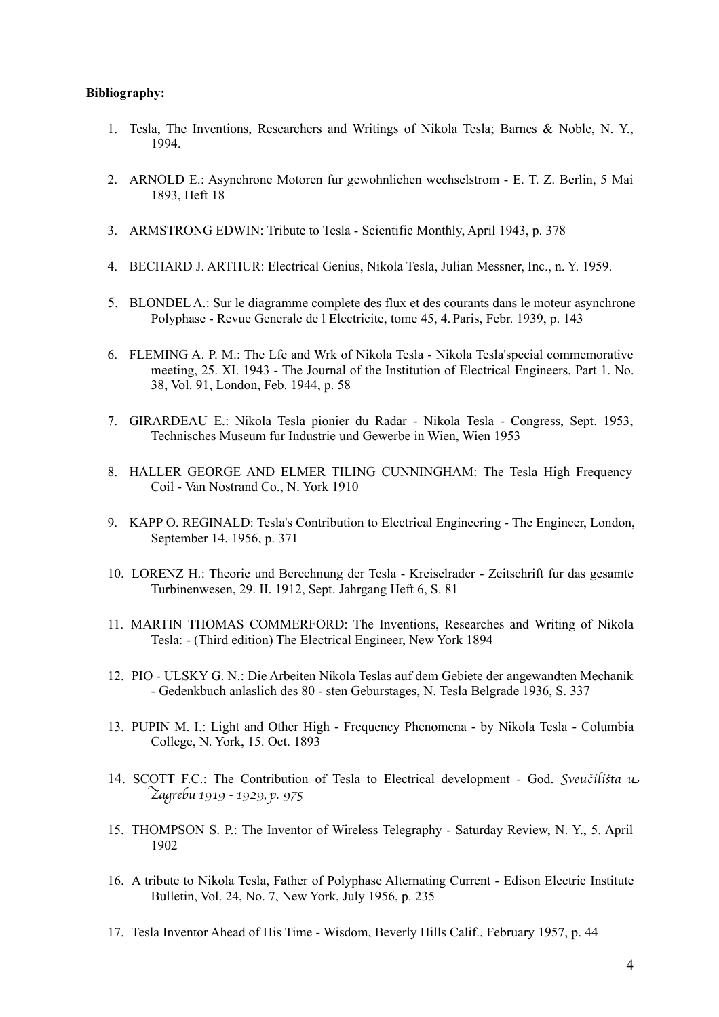### **Bibliography:**

- 1. Tesla, The Inventions, Researchers and Writings of Nikola Tesla; Barnes & Noble, N. Y., 1994.
- 2. ARNOLD E.: Asynchrone Motoren fur gewohnlichen wechselstrom E. T. Z. Berlin, 5 Mai 1893, Heft 18
- 3. ARMSTRONG EDWIN: Tribute to Tesla Scientific Monthly, April 1943, p. 378
- 4. BECHARD J. ARTHUR: Electrical Genius, Nikola Tesla, Julian Messner, Inc., n. Y. 1959.
- 5. BLONDEL A.: Sur le diagramme complete des flux et des courants dans le moteur asynchrone Polyphase - Revue Generale de l Electricite, tome 45, 4. Paris, Febr. 1939, p. 143
- 6. FLEMING A. P. M.: The Lfe and Wrk of Nikola Tesla Nikola Tesla'special commemorative meeting, 25. XI. 1943 - The Journal of the Institution of Electrical Engineers, Part 1. No. 38, Vol. 91, London, Feb. 1944, p. 58
- 7. GIRARDEAU E.: Nikola Tesla pionier du Radar Nikola Tesla Congress, Sept. 1953, Technisches Museum fur Industrie und Gewerbe in Wien, Wien 1953
- 8. HALLER GEORGE AND ELMER TILING CUNNINGHAM: The Tesla High Frequency Coil - Van Nostrand Co., N. York 1910
- 9. KAPP O. REGINALD: Tesla's Contribution to Electrical Engineering The Engineer, London, September 14, 1956, p. 371
- 10. LORENZ H.: Theorie und Berechnung der Tesla Kreiselrader Zeitschrift fur das gesamte Turbinenwesen, 29. II. 1912, Sept. Jahrgang Heft 6, S. 81
- 11. MARTIN THOMAS COMMERFORD: The Inventions, Researches and Writing of Nikola Tesla: - (Third edition) The Electrical Engineer, New York 1894
- 12. PIO ULSKY G. N.: Die Arbeiten Nikola Teslas auf dem Gebiete der angewandten Mechanik - Gedenkbuch anlaslich des 80 - sten Geburstages, N. Tesla Belgrade 1936, S. 337
- 13. PUPIN M. I.: Light and Other High Frequency Phenomena by Nikola Tesla Columbia College, N. York, 15. Oct. 1893
- 14. SCOTT F.C.: The Contribution of Tesla to Electrical development God. Sveučilišta u Zagrebu 1919 - 1929, p. 975
- 15. THOMPSON S. P.: The Inventor of Wireless Telegraphy Saturday Review, N. Y., 5. April 1902
- 16. A tribute to Nikola Tesla, Father of Polyphase Alternating Current Edison Electric Institute Bulletin, Vol. 24, No. 7, New York, July 1956, p. 235
- 17. Tesla Inventor Ahead of His Time Wisdom, Beverly Hills Calif., February 1957, p. 44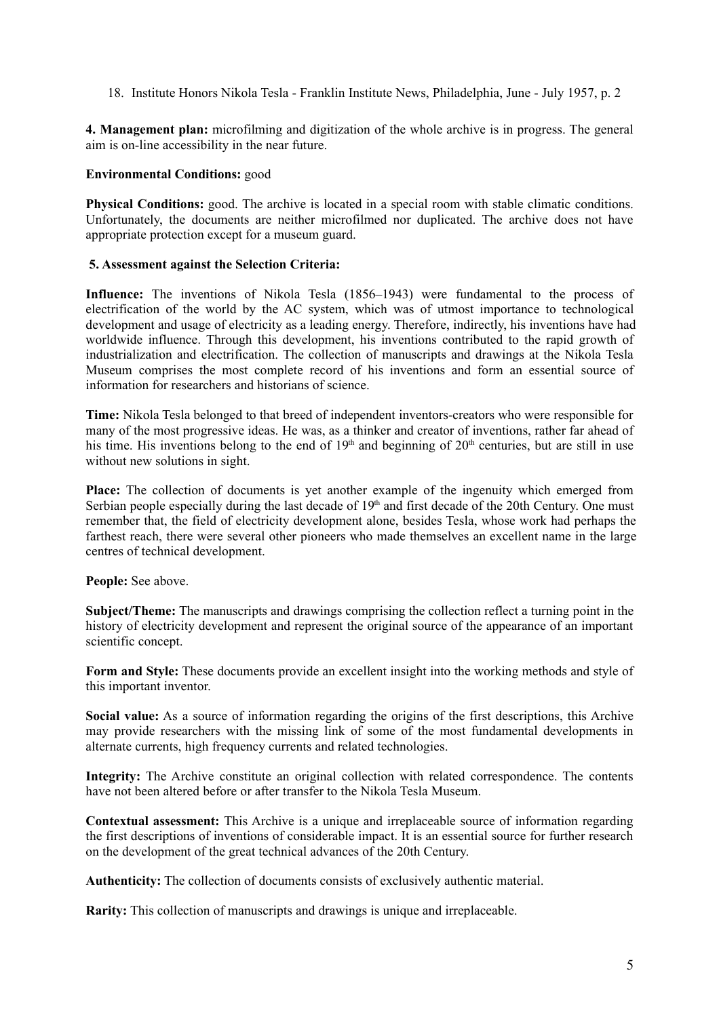18. Institute Honors Nikola Tesla - Franklin Institute News, Philadelphia, June - July 1957, p. 2

**4. Management plan:** microfilming and digitization of the whole archive is in progress. The general aim is on-line accessibility in the near future.

## **Environmental Conditions:** good

**Physical Conditions:** good. The archive is located in a special room with stable climatic conditions. Unfortunately, the documents are neither microfilmed nor duplicated. The archive does not have appropriate protection except for a museum guard.

## **5. Assessment against the Selection Criteria:**

**Influence:** The inventions of Nikola Tesla (1856–1943) were fundamental to the process of electrification of the world by the AC system, which was of utmost importance to technological development and usage of electricity as a leading energy. Therefore, indirectly, his inventions have had worldwide influence. Through this development, his inventions contributed to the rapid growth of industrialization and electrification. The collection of manuscripts and drawings at the Nikola Tesla Museum comprises the most complete record of his inventions and form an essential source of information for researchers and historians of science.

**Time:** Nikola Tesla belonged to that breed of independent inventors-creators who were responsible for many of the most progressive ideas. He was, as a thinker and creator of inventions, rather far ahead of his time. His inventions belong to the end of  $19<sup>th</sup>$  and beginning of  $20<sup>th</sup>$  centuries, but are still in use without new solutions in sight.

**Place:** The collection of documents is yet another example of the ingenuity which emerged from Serbian people especially during the last decade of 19<sup>th</sup> and first decade of the 20th Century. One must remember that, the field of electricity development alone, besides Tesla, whose work had perhaps the farthest reach, there were several other pioneers who made themselves an excellent name in the large centres of technical development.

**People:** See above.

**Subject/Theme:** The manuscripts and drawings comprising the collection reflect a turning point in the history of electricity development and represent the original source of the appearance of an important scientific concept.

**Form and Style:** These documents provide an excellent insight into the working methods and style of this important inventor.

**Social value:** As a source of information regarding the origins of the first descriptions, this Archive may provide researchers with the missing link of some of the most fundamental developments in alternate currents, high frequency currents and related technologies.

**Integrity:** The Archive constitute an original collection with related correspondence. The contents have not been altered before or after transfer to the Nikola Tesla Museum.

**Contextual assessment:** This Archive is a unique and irreplaceable source of information regarding the first descriptions of inventions of considerable impact. It is an essential source for further research on the development of the great technical advances of the 20th Century.

**Authenticity:** The collection of documents consists of exclusively authentic material.

**Rarity:** This collection of manuscripts and drawings is unique and irreplaceable.